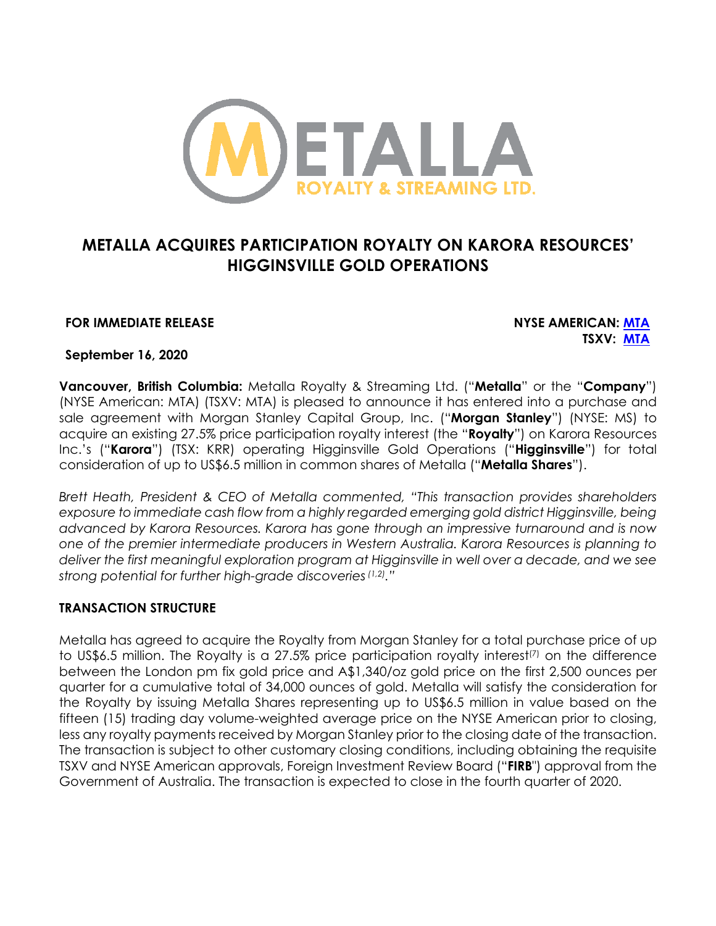

# **METALLA ACQUIRES PARTICIPATION ROYALTY ON KARORA RESOURCES' HIGGINSVILLE GOLD OPERATIONS**

#### **FOR IMMEDIATE RELEASE NYSE AMERICAN: MTA**

**TSXV: MTA**

**September 16, 2020**

**Vancouver, British Columbia:** Metalla Royalty & Streaming Ltd. ("**Metalla**" or the "**Company**") (NYSE American: MTA) (TSXV: MTA) is pleased to announce it has entered into a purchase and sale agreement with Morgan Stanley Capital Group, Inc. ("**Morgan Stanley**") (NYSE: MS) to acquire an existing 27.5% price participation royalty interest (the "**Royalty**") on Karora Resources Inc.'s ("**Karora**") (TSX: KRR) operating Higginsville Gold Operations ("**Higginsville**") for total consideration of up to US\$6.5 million in common shares of Metalla ("**Metalla Shares**").

*Brett Heath, President & CEO of Metalla commented, "This transaction provides shareholders*  exposure to immediate cash flow from a highly regarded emerging gold district Higginsville, being *advanced by Karora Resources. Karora has gone through an impressive turnaround and is now one of the premier intermediate producers in Western Australia. Karora Resources is planning to deliver the first meaningful exploration program at Higginsville in well over a decade, and we see strong potential for further high-grade discoveries(1,2)."* 

#### **TRANSACTION STRUCTURE**

Metalla has agreed to acquire the Royalty from Morgan Stanley for a total purchase price of up to US\$6.5 million. The Royalty is a 27.5% price participation royalty interest<sup>(7)</sup> on the difference between the London pm fix gold price and A\$1,340/oz gold price on the first 2,500 ounces per quarter for a cumulative total of 34,000 ounces of gold. Metalla will satisfy the consideration for the Royalty by issuing Metalla Shares representing up to US\$6.5 million in value based on the fifteen (15) trading day volume-weighted average price on the NYSE American prior to closing, less any royalty payments received by Morgan Stanley prior to the closing date of the transaction. The transaction is subject to other customary closing conditions, including obtaining the requisite TSXV and NYSE American approvals, Foreign Investment Review Board ("**FIRB**") approval from the Government of Australia. The transaction is expected to close in the fourth quarter of 2020.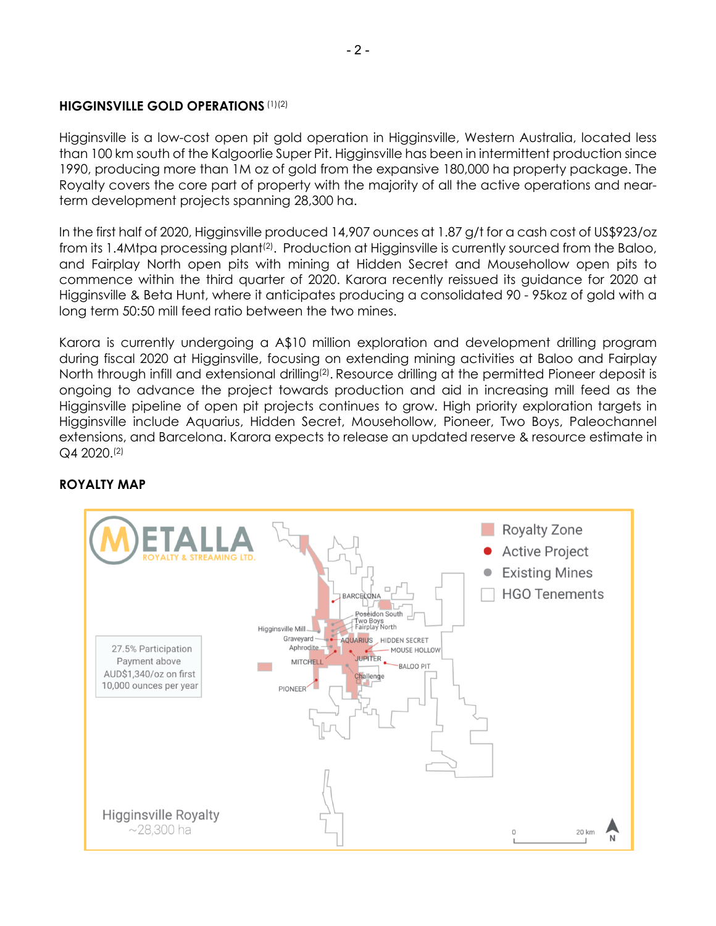#### **HIGGINSVILLE GOLD OPERATIONS** (1)(2)

Higginsville is a low-cost open pit gold operation in Higginsville, Western Australia, located less than 100 km south of the Kalgoorlie Super Pit. Higginsville has been in intermittent production since 1990, producing more than 1M oz of gold from the expansive 180,000 ha property package. The Royalty covers the core part of property with the majority of all the active operations and nearterm development projects spanning 28,300 ha.

In the first half of 2020, Higginsville produced 14,907 ounces at 1.87 g/t for a cash cost of US\$923/oz from its 1.4Mtpa processing plant<sup>(2)</sup>. Production at Higginsville is currently sourced from the Baloo, and Fairplay North open pits with mining at Hidden Secret and Mousehollow open pits to commence within the third quarter of 2020. Karora recently reissued its guidance for 2020 at Higginsville & Beta Hunt, where it anticipates producing a consolidated 90 - 95koz of gold with a long term 50:50 mill feed ratio between the two mines.

Karora is currently undergoing a A\$10 million exploration and development drilling program during fiscal 2020 at Higginsville, focusing on extending mining activities at Baloo and Fairplay North through infill and extensional drilling<sup>(2)</sup>. Resource drilling at the permitted Pioneer deposit is ongoing to advance the project towards production and aid in increasing mill feed as the Higginsville pipeline of open pit projects continues to grow. High priority exploration targets in Higginsville include Aquarius, Hidden Secret, Mousehollow, Pioneer, Two Boys, Paleochannel extensions, and Barcelona. Karora expects to release an updated reserve & resource estimate in Q4 2020.(2)



## **ROYALTY MAP**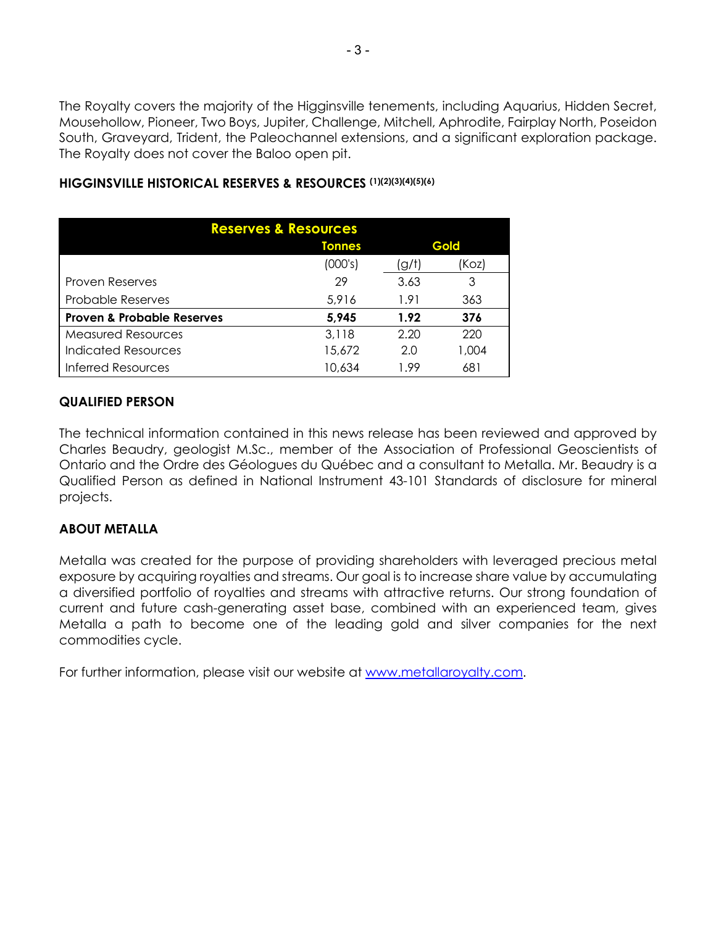The Royalty covers the majority of the Higginsville tenements, including Aquarius, Hidden Secret, Mousehollow, Pioneer, Two Boys, Jupiter, Challenge, Mitchell, Aphrodite, Fairplay North, Poseidon South, Graveyard, Trident, the Paleochannel extensions, and a significant exploration package. The Royalty does not cover the Baloo open pit.

| <b>Reserves &amp; Resources</b>       |               |       |       |
|---------------------------------------|---------------|-------|-------|
|                                       | <b>Tonnes</b> | Gold  |       |
|                                       | (000's)       | (g/t) | (Koz) |
| <b>Proven Reserves</b>                | 29            | 3.63  | 3     |
| <b>Probable Reserves</b>              | 5,916         | 1.91  | 363   |
| <b>Proven &amp; Probable Reserves</b> | 5,945         | 1.92  | 376   |
| <b>Measured Resources</b>             | 3,118         | 2.20  | 220   |
| <b>Indicated Resources</b>            | 15,672        | 2.0   | 1,004 |
| <b>Inferred Resources</b>             | 10,634        | 1.99  | 681   |

### **HIGGINSVILLE HISTORICAL RESERVES & RESOURCES (1)(2)(3)(4)(5)(6)**

### **QUALIFIED PERSON**

The technical information contained in this news release has been reviewed and approved by Charles Beaudry, geologist M.Sc., member of the Association of Professional Geoscientists of Ontario and the Ordre des Géologues du Québec and a consultant to Metalla. Mr. Beaudry is a Qualified Person as defined in National Instrument 43-101 Standards of disclosure for mineral projects.

#### **ABOUT METALLA**

Metalla was created for the purpose of providing shareholders with leveraged precious metal exposure by acquiring royalties and streams. Our goal is to increase share value by accumulating a diversified portfolio of royalties and streams with attractive returns. Our strong foundation of current and future cash-generating asset base, combined with an experienced team, gives Metalla a path to become one of the leading gold and silver companies for the next commodities cycle.

For further information, please visit our website at www.metallaroyalty.com.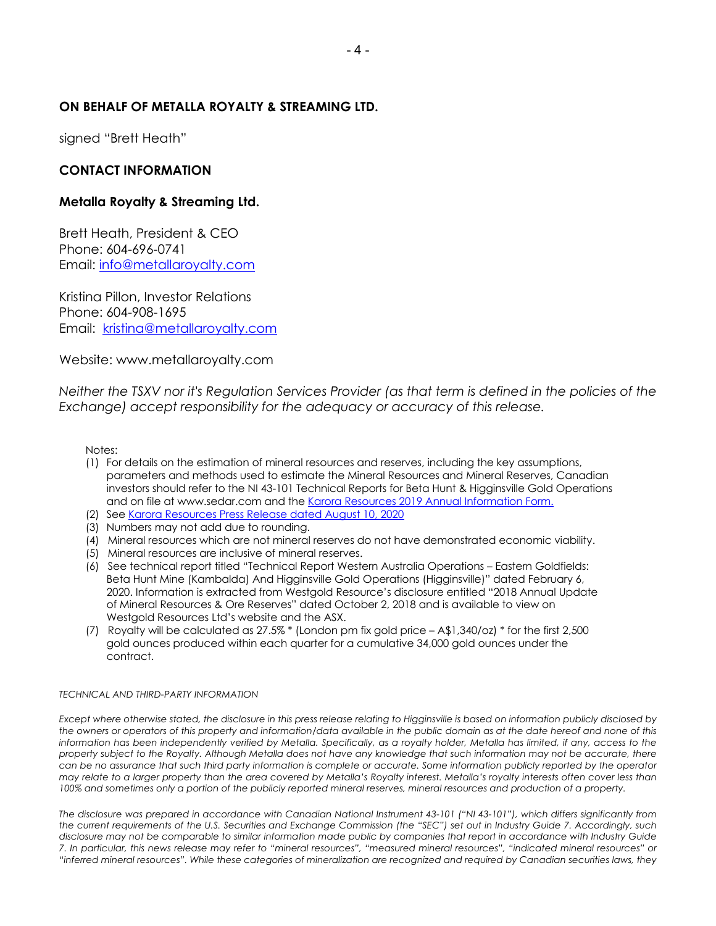#### **ON BEHALF OF METALLA ROYALTY & STREAMING LTD.**

signed "Brett Heath"

#### **CONTACT INFORMATION**

#### **Metalla Royalty & Streaming Ltd.**

Brett Heath, President & CEO Phone: 604-696-0741 Email: info@metallaroyalty.com

Kristina Pillon, Investor Relations Phone: 604-908-1695 Email: kristina@metallaroyalty.com

Website: www.metallaroyalty.com

*Neither the TSXV nor it's Regulation Services Provider (as that term is defined in the policies of the Exchange) accept responsibility for the adequacy or accuracy of this release.* 

Notes:

- (1) For details on the estimation of mineral resources and reserves, including the key assumptions, parameters and methods used to estimate the Mineral Resources and Mineral Reserves, Canadian investors should refer to the NI 43-101 Technical Reports for Beta Hunt & Higginsville Gold Operations and on file at www.sedar.com and the Karora Resources 2019 Annual Information Form.
- (2) See Karora Resources Press Release dated August 10, 2020
- (3) Numbers may not add due to rounding.
- (4) Mineral resources which are not mineral reserves do not have demonstrated economic viability.
- (5) Mineral resources are inclusive of mineral reserves.
- (6) See technical report titled "Technical Report Western Australia Operations Eastern Goldfields: Beta Hunt Mine (Kambalda) And Higginsville Gold Operations (Higginsville)" dated February 6, 2020. Information is extracted from Westgold Resource's disclosure entitled "2018 Annual Update of Mineral Resources & Ore Reserves" dated October 2, 2018 and is available to view on Westgold Resources Ltd's website and the ASX.
- (7) Royalty will be calculated as 27.5% \* (London pm fix gold price A\$1,340/oz) \* for the first 2,500 gold ounces produced within each quarter for a cumulative 34,000 gold ounces under the contract.

#### *TECHNICAL AND THIRD-PARTY INFORMATION*

*Except where otherwise stated, the disclosure in this press release relating to Higginsville is based on information publicly disclosed by the owners or operators of this property and information/data available in the public domain as at the date hereof and none of this information has been independently verified by Metalla. Specifically, as a royalty holder, Metalla has limited, if any, access to the property subject to the Royalty. Although Metalla does not have any knowledge that such information may not be accurate, there can be no assurance that such third party information is complete or accurate. Some information publicly reported by the operator may relate to a larger property than the area covered by Metalla's Royalty interest. Metalla's royalty interests often cover less than 100% and sometimes only a portion of the publicly reported mineral reserves, mineral resources and production of a property.*

*The disclosure was prepared in accordance with Canadian National Instrument 43-101 ("NI 43-101"), which differs significantly from the current requirements of the U.S. Securities and Exchange Commission (the "SEC") set out in Industry Guide 7. Accordingly, such disclosure may not be comparable to similar information made public by companies that report in accordance with Industry Guide 7. In particular, this news release may refer to "mineral resources", "measured mineral resources", "indicated mineral resources" or "inferred mineral resources". While these categories of mineralization are recognized and required by Canadian securities laws, they*